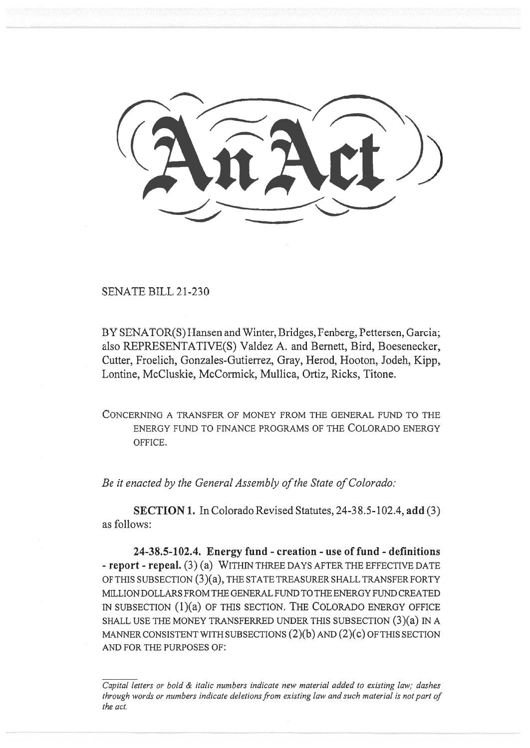SENATE BILL 21-230

BY SENATOR(S) Hansen and Winter, Bridges, Fenberg, Pettersen, Garcia; also REPRESENTATIVE(S) Valdez A. and Bernett, Bird, Boesenecker, Cutter, Froelich, Gonzales-Gutierrez, Gray, Herod, Hooton, Jodeh, Kipp, Lontine, McCluskie, McCormick, Mullica, Ortiz, Ricks, Titone.

CONCERNING A TRANSFER OF MONEY FROM THE GENERAL FUND TO THE ENERGY FUND TO FINANCE PROGRAMS OF THE COLORADO ENERGY OFFICE.

Be it enacted by the General Assembly of the State of Colorado:

SECTION 1. In Colorado Revised Statutes, 24-38.5-102.4, add (3) as follows:

24-38.5-102.4. Energy fund - creation - use of fund - definitions - report - repeal. (3) (a) WITHIN THREE DAYS AFTER THE EFFECTIVE DATE OF THIS SUBSECTION (3)(a), THE STATE TREASURER SHALL TRANSFER FORTY MILLION DOLLARS FROM THE GENERAL FUND TO THE ENERGY FUND CREATED IN SUBSECTION (1)(a) OF THIS SECTION. THE COLORADO ENERGY OFFICE SHALL USE THE MONEY TRANSFERRED UNDER THIS SUBSECTION (3)(a) IN A MANNER CONSISTENT WITH SUBSECTIONS  $(2)(b)$  and  $(2)(c)$  OF THIS SECTION AND FOR THE PURPOSES OF:

Capital letters or bold & italic numbers indicate new material added to existing law; dashes through words or numbers indicate deletions from existing law and such material is not part of the act.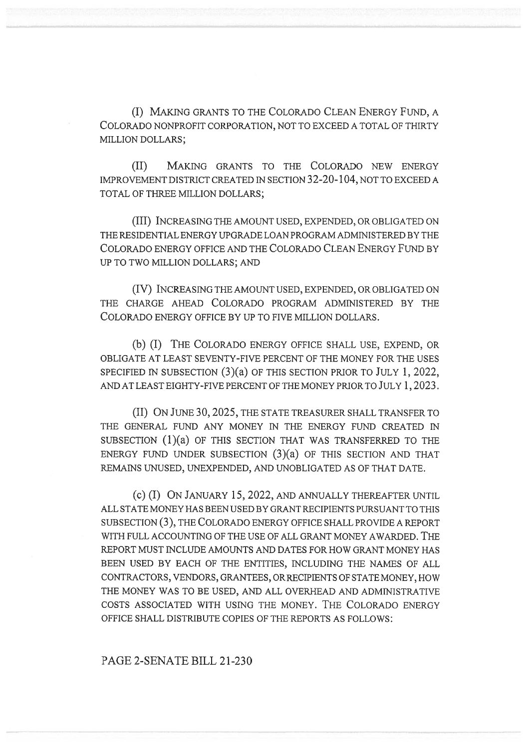(I) MAKING GRANTS TO THE COLORADO CLEAN ENERGY FUND, A COLORADO NONPROFIT CORPORATION, NOT TO EXCEED A TOTAL OF THIRTY MILLION DOLLARS;

(II) MAKING GRANTS TO THE COLORADO NEW ENERGY IMPROVEMENT DISTRICT CREATED IN SECTION 32-20-104, NOT TO EXCEED A TOTAL OF THREE MILLION DOLLARS;

(III) INCREASING THE AMOUNT USED, EXPENDED, OR OBLIGATED ON THE RESIDENTIAL ENERGY UPGRADE LOAN PROGRAM ADMINISTERED BY THE COLORADO ENERGY OFFICE AND THE COLORADO CLEAN ENERGY FUND BY UP TO TWO MILLION DOLLARS; AND

(IV) INCREASING THE AMOUNT USED, EXPENDED, OR OBLIGATED ON THE CHARGE AHEAD COLORADO PROGRAM ADMINISTERED BY THE COLORADO ENERGY OFFICE BY UP TO FIVE MILLION DOLLARS.

(b) (I) THE COLORADO ENERGY OFFICE SHALL USE, EXPEND, OR OBLIGATE AT LEAST SEVENTY-FIVE PERCENT OF THE MONEY FOR THE USES SPECIFIED IN SUBSECTION (3)(a) OF THIS SECTION PRIOR TO JULY 1, 2022, AND AT LEAST EIGHTY-FIVE PERCENT OF THE MONEY PRIOR TO JULY 1, 2023.

(II) ON JUNE 30, 2025, THE STATE TREASURER SHALL TRANSFER TO THE GENERAL FUND ANY MONEY IN THE ENERGY FUND CREATED IN SUBSECTION (1)(a) OF THIS SECTION THAT WAS TRANSFERRED TO THE ENERGY FUND UNDER SUBSECTION (3)(a) OF THIS SECTION AND THAT REMAINS UNUSED, UNEXPENDED, AND UNOBLIGATED AS OF THAT DATE.

(c) (I) ON JANUARY 15, 2022, AND ANNUALLY THEREAFTER UNTIL ALL STATE MONEY HAS BEEN USED BY GRANT RECIPIENTS PURSUANT TO THIS SUBSECTION (3), THE COLORADO ENERGY OFFICE SHALL PROVIDE A REPORT WITH FULL ACCOUNTING OF THE USE OF ALL GRANT MONEY AWARDED. THE REPORT MUST INCLUDE AMOUNTS AND DATES FOR HOW GRANT MONEY HAS BEEN USED BY EACH OF THE ENTITIES, INCLUDING THE NAMES OF ALL CONTRACTORS, VENDORS, GRANTEES, OR RECIPIENTS OF STATE MONEY, HOW THE MONEY WAS TO BE USED, AND ALL OVERHEAD AND ADMINISTRATIVE COSTS ASSOCIATED WITH USING THE MONEY. THE COLORADO ENERGY OFFICE SHALL DISTRIBUTE COPIES OF THE REPORTS AS FOLLOWS:

PAGE 2-SENATE BILL 21-230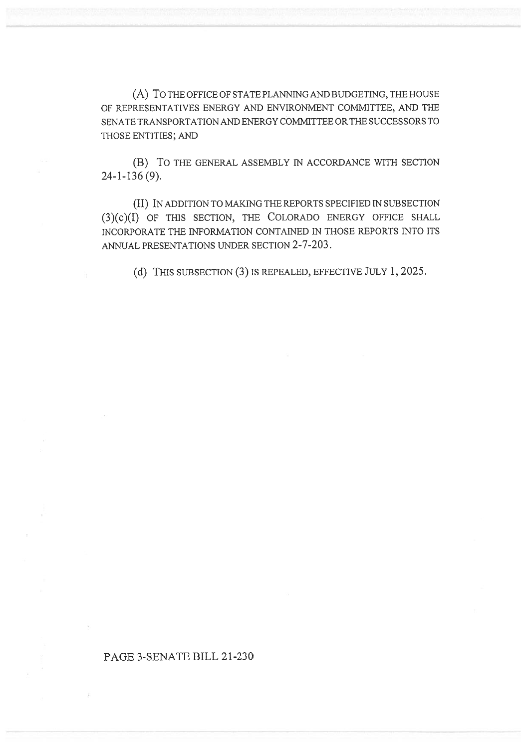(A) To THE OFFICE OF STATE PLANNING AND BUDGETING, THE HOUSE OF REPRESENTATIVES ENERGY AND ENVIRONMENT COMMITTEE, AND THE SENATE TRANSPORTATION AND ENERGY COMMITTEE OR THE SUCCESSORS TO THOSE ENTITIES; AND

(B) To THE GENERAL ASSEMBLY IN ACCORDANCE WITH SECTION 24-1-136 (9).

(II) IN ADDITION TO MAKING THE REPORTS SPECIFIED IN SUBSECTION (3)(c)(I) OF THIS SECTION, THE COLORADO ENERGY OFFICE SHALL INCORPORATE THE INFORMATION CONTAINED IN THOSE REPORTS INTO ITS ANNUAL PRESENTATIONS UNDER SECTION 2-7-203.

(d) THIS SUBSECTION (3) IS REPEALED, EFFECTIVE JULY 1, 2025.

## PAGE 3-SENATE BILL 21-230